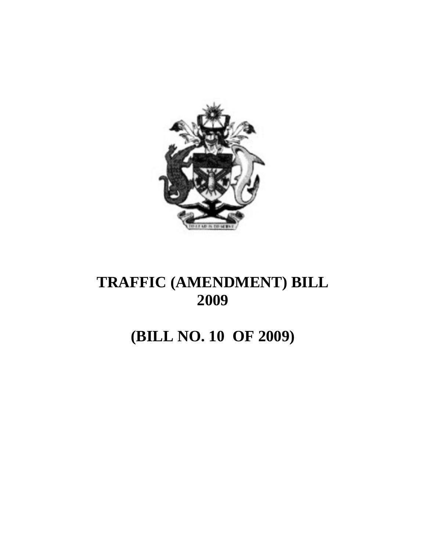

# **(BILL NO. 10 OF 2009)**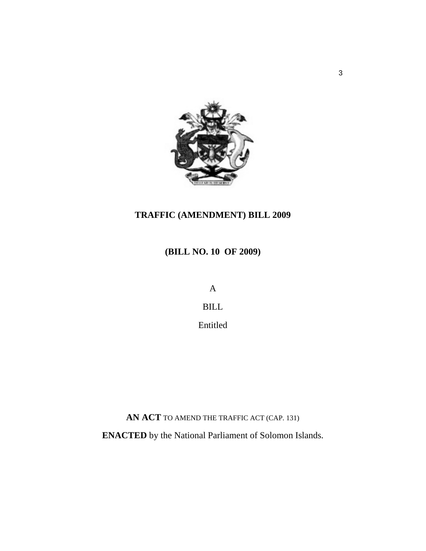

**(BILL NO. 10 OF 2009)** 

A

BILL

Entitled

**AN ACT** TO AMEND THE TRAFFIC ACT (CAP. 131)

**ENACTED** by the National Parliament of Solomon Islands.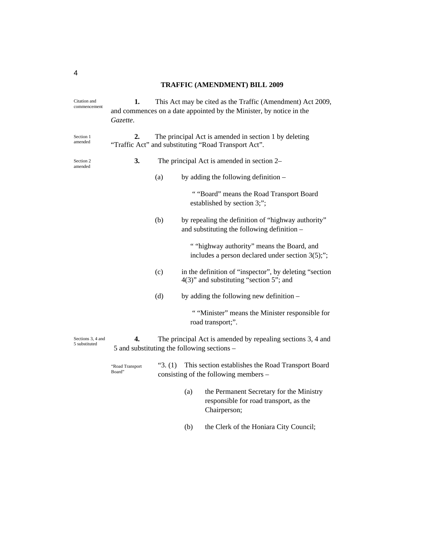| Citation and<br>commencement       | 1.<br>Gazette.                                                                                                      | This Act may be cited as the Traffic (Amendment) Act 2009,<br>and commences on a date appointed by the Minister, by notice in the |                                                                                                    |  |
|------------------------------------|---------------------------------------------------------------------------------------------------------------------|-----------------------------------------------------------------------------------------------------------------------------------|----------------------------------------------------------------------------------------------------|--|
| Section 1<br>amended               | 2.<br>The principal Act is amended in section 1 by deleting<br>"Traffic Act" and substituting "Road Transport Act". |                                                                                                                                   |                                                                                                    |  |
| Section 2<br>amended               | 3.                                                                                                                  | The principal Act is amended in section 2–                                                                                        |                                                                                                    |  |
|                                    |                                                                                                                     | (a)                                                                                                                               | by adding the following definition $-$                                                             |  |
|                                    |                                                                                                                     |                                                                                                                                   | ""Board" means the Road Transport Board<br>established by section 3;";                             |  |
|                                    |                                                                                                                     | (b)                                                                                                                               | by repealing the definition of "highway authority"<br>and substituting the following definition -  |  |
|                                    |                                                                                                                     |                                                                                                                                   | " "highway authority" means the Board, and<br>includes a person declared under section $3(5)$ ;";  |  |
|                                    |                                                                                                                     | (c)                                                                                                                               | in the definition of "inspector", by deleting "section"<br>4(3)" and substituting "section 5"; and |  |
|                                    |                                                                                                                     | (d)                                                                                                                               | by adding the following new definition $-$                                                         |  |
|                                    |                                                                                                                     |                                                                                                                                   | " "Minister" means the Minister responsible for<br>road transport;".                               |  |
| Sections 3, 4 and<br>5 substituted | 4.                                                                                                                  | The principal Act is amended by repealing sections 3, 4 and<br>5 and substituting the following sections –                        |                                                                                                    |  |
|                                    | "Road Transport<br>Board"                                                                                           | "3. (1)                                                                                                                           | This section establishes the Road Transport Board<br>consisting of the following members –         |  |

- (a) the Permanent Secretary for the Ministry responsible for road transport, as the Chairperson;
- (b) the Clerk of the Honiara City Council;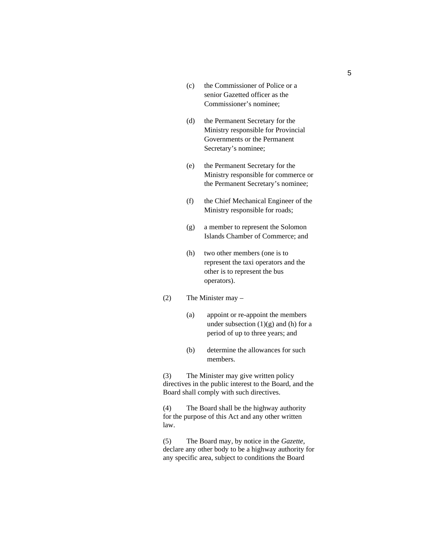- (c) the Commissioner of Police or a senior Gazetted officer as the Commissioner's nominee;
- (d) the Permanent Secretary for the Ministry responsible for Provincial Governments or the Permanent Secretary's nominee;
- (e) the Permanent Secretary for the Ministry responsible for commerce or the Permanent Secretary's nominee;
- (f) the Chief Mechanical Engineer of the Ministry responsible for roads;
- (g) a member to represent the Solomon Islands Chamber of Commerce; and
- (h) two other members (one is to represent the taxi operators and the other is to represent the bus operators).
- (2) The Minister may
	- (a) appoint or re-appoint the members under subsection  $(1)(g)$  and  $(h)$  for a period of up to three years; and
	- (b) determine the allowances for such members.

(3) The Minister may give written policy directives in the public interest to the Board, and the Board shall comply with such directives.

(4) The Board shall be the highway authority for the purpose of this Act and any other written law.

(5) The Board may, by notice in the *Gazette*, declare any other body to be a highway authority for any specific area, subject to conditions the Board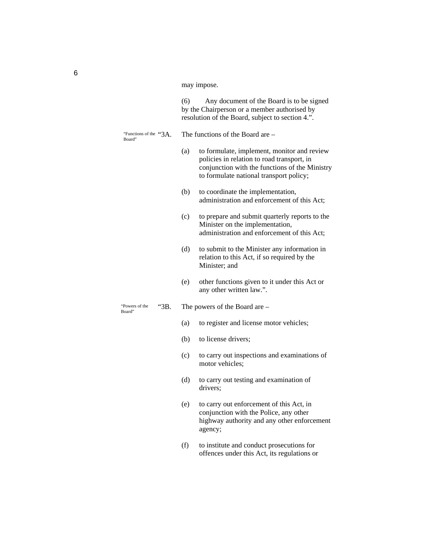may impose.

(6) Any document of the Board is to be signed by the Chairperson or a member authorised by resolution of the Board, subject to section 4.".

The functions of the Board are  $-$ "Functions of the "3A. Board"

- (a) to formulate, implement, monitor and review policies in relation to road transport, in conjunction with the functions of the Ministry to formulate national transport policy;
- (b) to coordinate the implementation, administration and enforcement of this Act;
- (c) to prepare and submit quarterly reports to the Minister on the implementation, administration and enforcement of this Act;
- (d) to submit to the Minister any information in relation to this Act, if so required by the Minister; and
- (e) other functions given to it under this Act or any other written law.".

"3B. The powers of the Board are – "Powers of the

- (a) to register and license motor vehicles;
- (b) to license drivers;
- (c) to carry out inspections and examinations of motor vehicles;
- (d) to carry out testing and examination of drivers;
- (e) to carry out enforcement of this Act, in conjunction with the Police, any other highway authority and any other enforcement agency;
- (f) to institute and conduct prosecutions for offences under this Act, its regulations or

Board"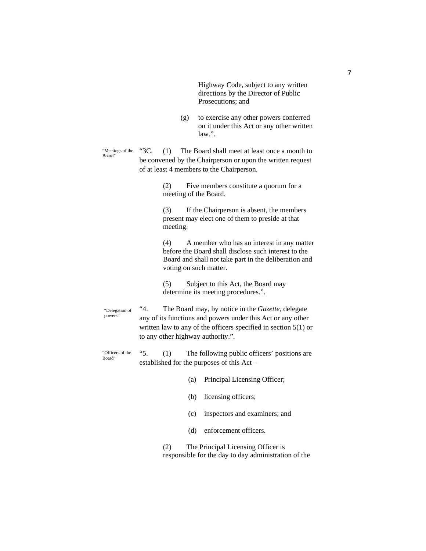Highway Code, subject to any written directions by the Director of Public Prosecutions; and

(g) to exercise any other powers conferred on it under this Act or any other written law.".

"3C. (1) The Board shall meet at least once a month to be convened by the Chairperson or upon the written request of at least 4 members to the Chairperson. "Meetings of the Board"

> (2) Five members constitute a quorum for a meeting of the Board.

(3) If the Chairperson is absent, the members present may elect one of them to preside at that meeting.

(4) A member who has an interest in any matter before the Board shall disclose such interest to the Board and shall not take part in the deliberation and voting on such matter.

(5) Subject to this Act, the Board may determine its meeting procedures.".

"4. The Board may, by notice in the *Gazette*, delegate any of its functions and powers under this Act or any other written law to any of the officers specified in section 5(1) or to any other highway authority.". "Delegation of powers"

"5. (1) The following public officers' positions are established for the purposes of this Act – "Officers of the Board"

- (a) Principal Licensing Officer;
- (b) licensing officers;
- (c) inspectors and examiners; and
- (d) enforcement officers.

(2) The Principal Licensing Officer is responsible for the day to day administration of the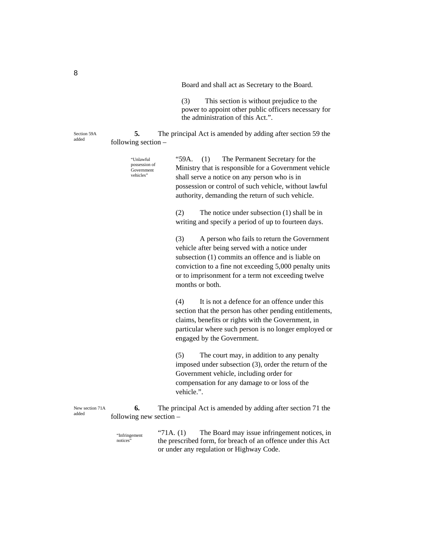Board and shall act as Secretary to the Board.

(3) This section is without prejudice to the power to appoint other public officers necessary for the administration of this Act.".

**5.** The principal Act is amended by adding after section 59 the following section –

"59A. (1) The Permanent Secretary for the Ministry that is responsible for a Government vehicle shall serve a notice on any person who is in possession or control of such vehicle, without lawful authority, demanding the return of such vehicle. (2) The notice under subsection (1) shall be in "Unlawful possession of Government vehicles"

writing and specify a period of up to fourteen days.

(3) A person who fails to return the Government vehicle after being served with a notice under subsection (1) commits an offence and is liable on conviction to a fine not exceeding 5,000 penalty units or to imprisonment for a term not exceeding twelve months or both.

(4) It is not a defence for an offence under this section that the person has other pending entitlements, claims, benefits or rights with the Government, in particular where such person is no longer employed or engaged by the Government.

(5) The court may, in addition to any penalty imposed under subsection (3), order the return of the Government vehicle, including order for compensation for any damage to or loss of the vehicle.".

**6.** The principal Act is amended by adding after section 71 the following new section – New section 71A

> "71A. (1) The Board may issue infringement notices, in the prescribed form, for breach of an offence under this Act or under any regulation or Highway Code. "Infringement notices'

Section 59A added

8

added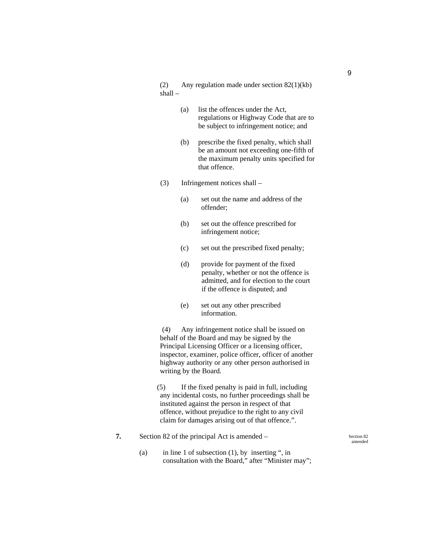(2) Any regulation made under section 82(1)(kb) shall –

- (a) list the offences under the Act, regulations or Highway Code that are to be subject to infringement notice; and
- (b) prescribe the fixed penalty, which shall be an amount not exceeding one-fifth of the maximum penalty units specified for that offence.
- (3) Infringement notices shall
	- (a) set out the name and address of the offender;
	- (b) set out the offence prescribed for infringement notice;
	- (c) set out the prescribed fixed penalty;
	- (d) provide for payment of the fixed penalty, whether or not the offence is admitted, and for election to the court if the offence is disputed; and
	- (e) set out any other prescribed information.

 (4) Any infringement notice shall be issued on behalf of the Board and may be signed by the Principal Licensing Officer or a licensing officer, inspector, examiner, police officer, officer of another highway authority or any other person authorised in writing by the Board.

(5) If the fixed penalty is paid in full, including any incidental costs, no further proceedings shall be instituted against the person in respect of that offence, without prejudice to the right to any civil claim for damages arising out of that offence.".

**7.** Section 82 of the principal Act is amended –

(a) in line 1 of subsection  $(1)$ , by inserting ", in consultation with the Board," after "Minister may"; Section 82 amended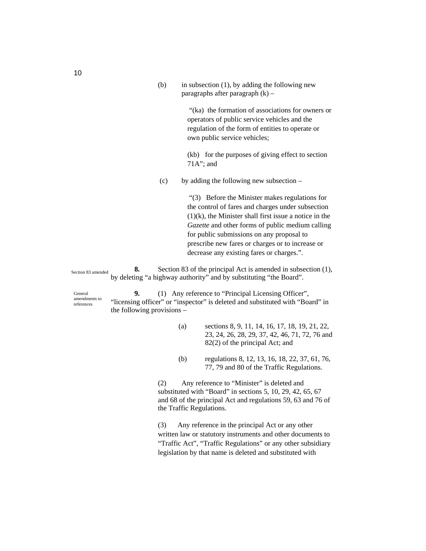(b) in subsection (1), by adding the following new paragraphs after paragraph  $(k)$  –

> "(ka) the formation of associations for owners or operators of public service vehicles and the regulation of the form of entities to operate or own public service vehicles;

(kb) for the purposes of giving effect to section 71A"; and

(c) by adding the following new subsection –

 "(3) Before the Minister makes regulations for the control of fares and charges under subsection  $(1)(k)$ , the Minister shall first issue a notice in the *Gazette* and other forms of public medium calling for public submissions on any proposal to prescribe new fares or charges or to increase or decrease any existing fares or charges.".

**8.** Section 83 of the principal Act is amended in subsection (1), by deleting "a highway authority" and by substituting "the Board". Section 83 amended

General amendments to references

**9.** (1) Any reference to "Principal Licensing Officer", "licensing officer" or "inspector" is deleted and substituted with "Board" in the following provisions –

- (a) sections 8, 9, 11, 14, 16, 17, 18, 19, 21, 22, 23, 24, 26, 28, 29, 37, 42, 46, 71, 72, 76 and 82(2) of the principal Act; and
- (b) regulations 8, 12, 13, 16, 18, 22, 37, 61, 76, 77, 79 and 80 of the Traffic Regulations.

(2) Any reference to "Minister" is deleted and substituted with "Board" in sections 5, 10, 29, 42, 65, 67 and 68 of the principal Act and regulations 59, 63 and 76 of the Traffic Regulations.

(3) Any reference in the principal Act or any other written law or statutory instruments and other documents to "Traffic Act", "Traffic Regulations" or any other subsidiary legislation by that name is deleted and substituted with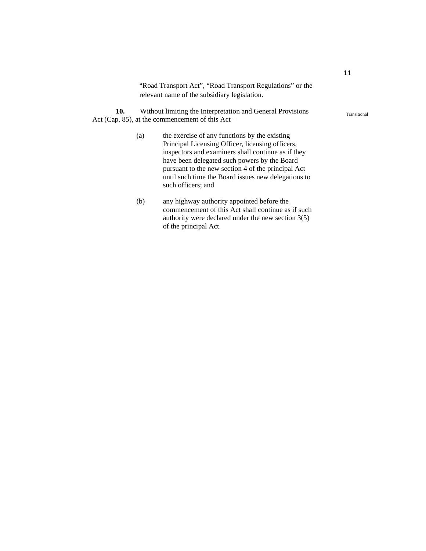"Road Transport Act", "Road Transport Regulations" or the relevant name of the subsidiary legislation.

**10.** Without limiting the Interpretation and General Provisions Act (Cap. 85), at the commencement of this Act –

- (a) the exercise of any functions by the existing Principal Licensing Officer, licensing officers, inspectors and examiners shall continue as if they have been delegated such powers by the Board pursuant to the new section 4 of the principal Act until such time the Board issues new delegations to such officers; and
- (b) any highway authority appointed before the commencement of this Act shall continue as if such authority were declared under the new section 3(5) of the principal Act.

11

#### Transitional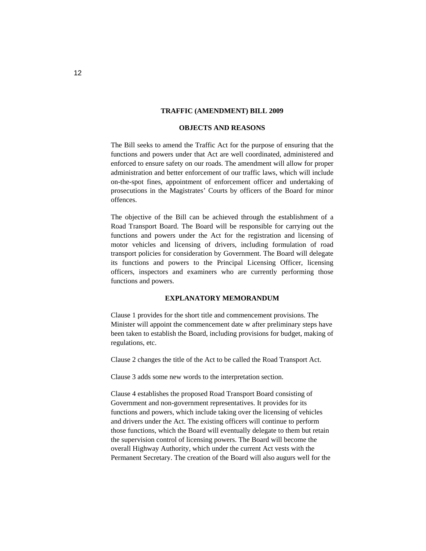#### **OBJECTS AND REASONS**

The Bill seeks to amend the Traffic Act for the purpose of ensuring that the functions and powers under that Act are well coordinated, administered and enforced to ensure safety on our roads. The amendment will allow for proper administration and better enforcement of our traffic laws, which will include on-the-spot fines, appointment of enforcement officer and undertaking of prosecutions in the Magistrates' Courts by officers of the Board for minor offences.

The objective of the Bill can be achieved through the establishment of a Road Transport Board. The Board will be responsible for carrying out the functions and powers under the Act for the registration and licensing of motor vehicles and licensing of drivers, including formulation of road transport policies for consideration by Government. The Board will delegate its functions and powers to the Principal Licensing Officer, licensing officers, inspectors and examiners who are currently performing those functions and powers.

#### **EXPLANATORY MEMORANDUM**

Clause 1 provides for the short title and commencement provisions. The Minister will appoint the commencement date w after preliminary steps have been taken to establish the Board, including provisions for budget, making of regulations, etc.

Clause 2 changes the title of the Act to be called the Road Transport Act.

Clause 3 adds some new words to the interpretation section.

Clause 4 establishes the proposed Road Transport Board consisting of Government and non-government representatives. It provides for its functions and powers, which include taking over the licensing of vehicles and drivers under the Act. The existing officers will continue to perform those functions, which the Board will eventually delegate to them but retain the supervision control of licensing powers. The Board will become the overall Highway Authority, which under the current Act vests with the Permanent Secretary. The creation of the Board will also augurs well for the